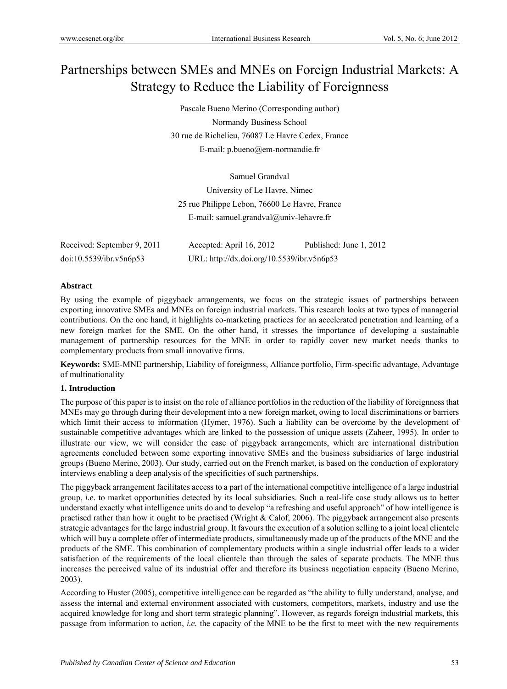# Partnerships between SMEs and MNEs on Foreign Industrial Markets: A Strategy to Reduce the Liability of Foreignness

Pascale Bueno Merino (Corresponding author) Normandy Business School 30 rue de Richelieu, 76087 Le Havre Cedex, France E-mail: p.bueno@em-normandie.fr

Samuel Grandval University of Le Havre, Nimec 25 rue Philippe Lebon, 76600 Le Havre, France E-mail: samuel.grandval@univ-lehavre.fr

Received: September 9, 2011 Accepted: April 16, 2012 Published: June 1, 2012 doi:10.5539/ibr.v5n6p53 URL: http://dx.doi.org/10.5539/ibr.v5n6p53

### **Abstract**

By using the example of piggyback arrangements, we focus on the strategic issues of partnerships between exporting innovative SMEs and MNEs on foreign industrial markets. This research looks at two types of managerial contributions. On the one hand, it highlights co-marketing practices for an accelerated penetration and learning of a new foreign market for the SME. On the other hand, it stresses the importance of developing a sustainable management of partnership resources for the MNE in order to rapidly cover new market needs thanks to complementary products from small innovative firms.

**Keywords:** SME-MNE partnership, Liability of foreignness, Alliance portfolio, Firm-specific advantage, Advantage of multinationality

#### **1. Introduction**

The purpose of this paper is to insist on the role of alliance portfolios in the reduction of the liability of foreignness that MNEs may go through during their development into a new foreign market, owing to local discriminations or barriers which limit their access to information (Hymer, 1976). Such a liability can be overcome by the development of sustainable competitive advantages which are linked to the possession of unique assets (Zaheer, 1995). In order to illustrate our view, we will consider the case of piggyback arrangements, which are international distribution agreements concluded between some exporting innovative SMEs and the business subsidiaries of large industrial groups (Bueno Merino, 2003). Our study, carried out on the French market, is based on the conduction of exploratory interviews enabling a deep analysis of the specificities of such partnerships.

The piggyback arrangement facilitates access to a part of the international competitive intelligence of a large industrial group, *i.e.* to market opportunities detected by its local subsidiaries. Such a real-life case study allows us to better understand exactly what intelligence units do and to develop "a refreshing and useful approach" of how intelligence is practised rather than how it ought to be practised (Wright & Calof, 2006). The piggyback arrangement also presents strategic advantages for the large industrial group. It favours the execution of a solution selling to a joint local clientele which will buy a complete offer of intermediate products, simultaneously made up of the products of the MNE and the products of the SME. This combination of complementary products within a single industrial offer leads to a wider satisfaction of the requirements of the local clientele than through the sales of separate products. The MNE thus increases the perceived value of its industrial offer and therefore its business negotiation capacity (Bueno Merino, 2003).

According to Huster (2005), competitive intelligence can be regarded as "the ability to fully understand, analyse, and assess the internal and external environment associated with customers, competitors, markets, industry and use the acquired knowledge for long and short term strategic planning". However, as regards foreign industrial markets, this passage from information to action, *i.e.* the capacity of the MNE to be the first to meet with the new requirements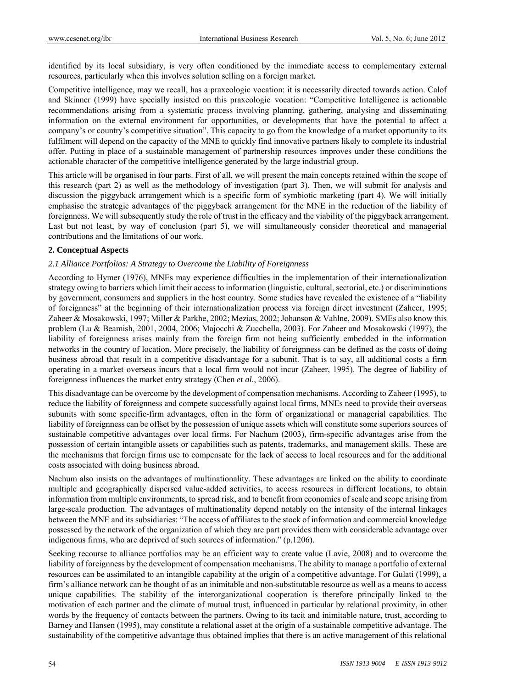identified by its local subsidiary, is very often conditioned by the immediate access to complementary external resources, particularly when this involves solution selling on a foreign market.

Competitive intelligence, may we recall, has a praxeologic vocation: it is necessarily directed towards action. Calof and Skinner (1999) have specially insisted on this praxeologic vocation: "Competitive Intelligence is actionable recommendations arising from a systematic process involving planning, gathering, analysing and disseminating information on the external environment for opportunities, or developments that have the potential to affect a company's or country's competitive situation". This capacity to go from the knowledge of a market opportunity to its fulfilment will depend on the capacity of the MNE to quickly find innovative partners likely to complete its industrial offer. Putting in place of a sustainable management of partnership resources improves under these conditions the actionable character of the competitive intelligence generated by the large industrial group.

This article will be organised in four parts. First of all, we will present the main concepts retained within the scope of this research (part 2) as well as the methodology of investigation (part 3). Then, we will submit for analysis and discussion the piggyback arrangement which is a specific form of symbiotic marketing (part 4). We will initially emphasise the strategic advantages of the piggyback arrangement for the MNE in the reduction of the liability of foreignness. We will subsequently study the role of trust in the efficacy and the viability of the piggyback arrangement. Last but not least, by way of conclusion (part 5), we will simultaneously consider theoretical and managerial contributions and the limitations of our work.

### **2. Conceptual Aspects**

### *2.1 Alliance Portfolios: A Strategy to Overcome the Liability of Foreignness*

According to Hymer (1976), MNEs may experience difficulties in the implementation of their internationalization strategy owing to barriers which limit their access to information (linguistic, cultural, sectorial, etc.) or discriminations by government, consumers and suppliers in the host country. Some studies have revealed the existence of a "liability of foreignness" at the beginning of their internationalization process via foreign direct investment (Zaheer, 1995; Zaheer & Mosakowski, 1997; Miller & Parkhe, 2002; Mezias, 2002; Johanson & Vahlne, 2009). SMEs also know this problem (Lu & Beamish, 2001, 2004, 2006; Majocchi & Zucchella, 2003). For Zaheer and Mosakowski (1997), the liability of foreignness arises mainly from the foreign firm not being sufficiently embedded in the information networks in the country of location. More precisely, the liability of foreignness can be defined as the costs of doing business abroad that result in a competitive disadvantage for a subunit. That is to say, all additional costs a firm operating in a market overseas incurs that a local firm would not incur (Zaheer, 1995). The degree of liability of foreignness influences the market entry strategy (Chen *et al.*, 2006).

This disadvantage can be overcome by the development of compensation mechanisms. According to Zaheer (1995), to reduce the liability of foreignness and compete successfully against local firms, MNEs need to provide their overseas subunits with some specific-firm advantages, often in the form of organizational or managerial capabilities. The liability of foreignness can be offset by the possession of unique assets which will constitute some superiors sources of sustainable competitive advantages over local firms. For Nachum (2003), firm-specific advantages arise from the possession of certain intangible assets or capabilities such as patents, trademarks, and management skills. These are the mechanisms that foreign firms use to compensate for the lack of access to local resources and for the additional costs associated with doing business abroad.

Nachum also insists on the advantages of multinationality. These advantages are linked on the ability to coordinate multiple and geographically dispersed value-added activities, to access resources in different locations, to obtain information from multiple environments, to spread risk, and to benefit from economies of scale and scope arising from large-scale production. The advantages of multinationality depend notably on the intensity of the internal linkages between the MNE and its subsidiaries: "The access of affiliates to the stock of information and commercial knowledge possessed by the network of the organization of which they are part provides them with considerable advantage over indigenous firms, who are deprived of such sources of information." (p.1206).

Seeking recourse to alliance portfolios may be an efficient way to create value (Lavie, 2008) and to overcome the liability of foreignness by the development of compensation mechanisms. The ability to manage a portfolio of external resources can be assimilated to an intangible capability at the origin of a competitive advantage. For Gulati (1999), a firm's alliance network can be thought of as an inimitable and non-substitutable resource as well as a means to access unique capabilities. The stability of the interorganizational cooperation is therefore principally linked to the motivation of each partner and the climate of mutual trust, influenced in particular by relational proximity, in other words by the frequency of contacts between the partners. Owing to its tacit and inimitable nature, trust, according to Barney and Hansen (1995), may constitute a relational asset at the origin of a sustainable competitive advantage. The sustainability of the competitive advantage thus obtained implies that there is an active management of this relational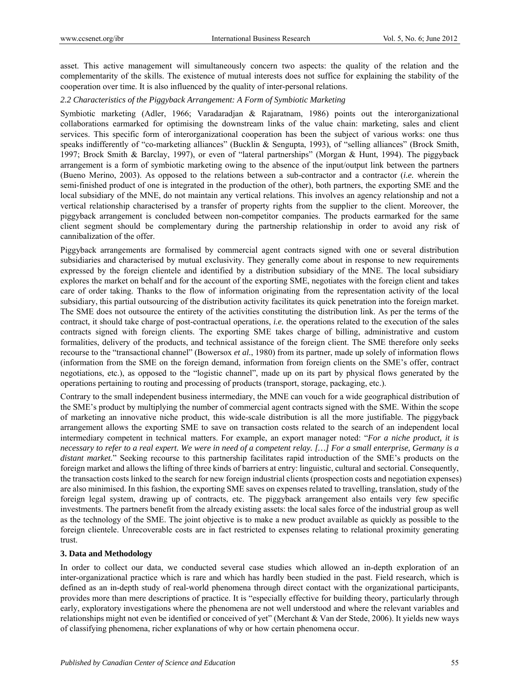asset. This active management will simultaneously concern two aspects: the quality of the relation and the complementarity of the skills. The existence of mutual interests does not suffice for explaining the stability of the cooperation over time. It is also influenced by the quality of inter-personal relations.

## *2.2 Characteristics of the Piggyback Arrangement: A Form of Symbiotic Marketing*

Symbiotic marketing (Adler, 1966; Varadaradjan & Rajaratnam, 1986) points out the interorganizational collaborations earmarked for optimising the downstream links of the value chain: marketing, sales and client services. This specific form of interorganizational cooperation has been the subject of various works: one thus speaks indifferently of "co-marketing alliances" (Bucklin & Sengupta, 1993), of "selling alliances" (Brock Smith, 1997; Brock Smith & Barclay, 1997), or even of "lateral partnerships" (Morgan & Hunt, 1994). The piggyback arrangement is a form of symbiotic marketing owing to the absence of the input/output link between the partners (Bueno Merino, 2003). As opposed to the relations between a sub-contractor and a contractor (*i.e.* wherein the semi-finished product of one is integrated in the production of the other), both partners, the exporting SME and the local subsidiary of the MNE, do not maintain any vertical relations. This involves an agency relationship and not a vertical relationship characterised by a transfer of property rights from the supplier to the client. Moreover, the piggyback arrangement is concluded between non-competitor companies. The products earmarked for the same client segment should be complementary during the partnership relationship in order to avoid any risk of cannibalization of the offer.

Piggyback arrangements are formalised by commercial agent contracts signed with one or several distribution subsidiaries and characterised by mutual exclusivity. They generally come about in response to new requirements expressed by the foreign clientele and identified by a distribution subsidiary of the MNE. The local subsidiary explores the market on behalf and for the account of the exporting SME, negotiates with the foreign client and takes care of order taking. Thanks to the flow of information originating from the representation activity of the local subsidiary, this partial outsourcing of the distribution activity facilitates its quick penetration into the foreign market. The SME does not outsource the entirety of the activities constituting the distribution link. As per the terms of the contract, it should take charge of post-contractual operations, *i.e.* the operations related to the execution of the sales contracts signed with foreign clients. The exporting SME takes charge of billing, administrative and custom formalities, delivery of the products, and technical assistance of the foreign client. The SME therefore only seeks recourse to the "transactional channel" (Bowersox *et al.*, 1980) from its partner, made up solely of information flows (information from the SME on the foreign demand, information from foreign clients on the SME's offer, contract negotiations, etc.), as opposed to the "logistic channel", made up on its part by physical flows generated by the operations pertaining to routing and processing of products (transport, storage, packaging, etc.).

Contrary to the small independent business intermediary, the MNE can vouch for a wide geographical distribution of the SME's product by multiplying the number of commercial agent contracts signed with the SME. Within the scope of marketing an innovative niche product, this wide-scale distribution is all the more justifiable. The piggyback arrangement allows the exporting SME to save on transaction costs related to the search of an independent local intermediary competent in technical matters. For example, an export manager noted: "*For a niche product, it is necessary to refer to a real expert. We were in need of a competent relay. […] For a small enterprise, Germany is a distant market.*" Seeking recourse to this partnership facilitates rapid introduction of the SME's products on the foreign market and allows the lifting of three kinds of barriers at entry: linguistic, cultural and sectorial. Consequently, the transaction costs linked to the search for new foreign industrial clients (prospection costs and negotiation expenses) are also minimised. In this fashion, the exporting SME saves on expenses related to travelling, translation, study of the foreign legal system, drawing up of contracts, etc. The piggyback arrangement also entails very few specific investments. The partners benefit from the already existing assets: the local sales force of the industrial group as well as the technology of the SME. The joint objective is to make a new product available as quickly as possible to the foreign clientele. Unrecoverable costs are in fact restricted to expenses relating to relational proximity generating trust.

### **3. Data and Methodology**

In order to collect our data, we conducted several case studies which allowed an in-depth exploration of an inter-organizational practice which is rare and which has hardly been studied in the past. Field research, which is defined as an in-depth study of real-world phenomena through direct contact with the organizational participants, provides more than mere descriptions of practice. It is "especially effective for building theory, particularly through early, exploratory investigations where the phenomena are not well understood and where the relevant variables and relationships might not even be identified or conceived of yet" (Merchant & Van der Stede, 2006). It yields new ways of classifying phenomena, richer explanations of why or how certain phenomena occur.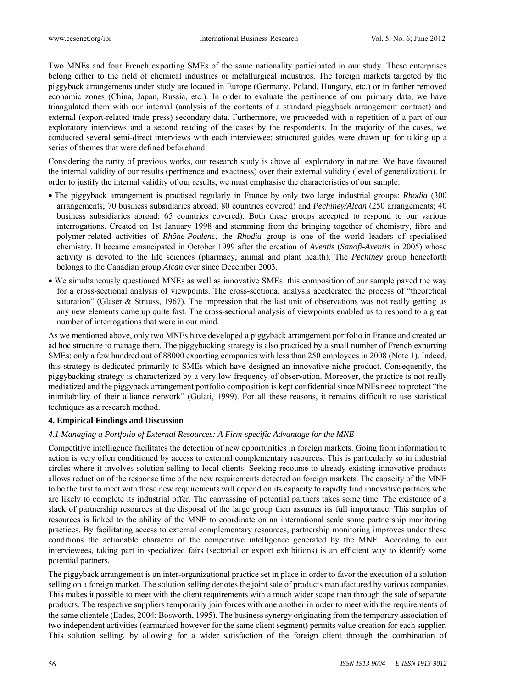Two MNEs and four French exporting SMEs of the same nationality participated in our study. These enterprises belong either to the field of chemical industries or metallurgical industries. The foreign markets targeted by the piggyback arrangements under study are located in Europe (Germany, Poland, Hungary, etc.) or in farther removed economic zones (China, Japan, Russia, etc.). In order to evaluate the pertinence of our primary data, we have triangulated them with our internal (analysis of the contents of a standard piggyback arrangement contract) and external (export-related trade press) secondary data. Furthermore, we proceeded with a repetition of a part of our exploratory interviews and a second reading of the cases by the respondents. In the majority of the cases, we conducted several semi-direct interviews with each interviewee: structured guides were drawn up for taking up a series of themes that were defined beforehand.

Considering the rarity of previous works, our research study is above all exploratory in nature. We have favoured the internal validity of our results (pertinence and exactness) over their external validity (level of generalization). In order to justify the internal validity of our results, we must emphasise the characteristics of our sample:

- The piggyback arrangement is practised regularly in France by only two large industrial groups: *Rhodia* (300 arrangements; 70 business subsidiaries abroad; 80 countries covered) and *Pechiney/Alcan* (250 arrangements; 40 business subsidiaries abroad; 65 countries covered). Both these groups accepted to respond to our various interrogations. Created on 1st January 1998 and stemming from the bringing together of chemistry, fibre and polymer-related activities of *Rhône-Poulenc*, the *Rhodia* group is one of the world leaders of specialised chemistry. It became emancipated in October 1999 after the creation of *Aventis* (*Sanofi-Aventis* in 2005) whose activity is devoted to the life sciences (pharmacy, animal and plant health). The *Pechiney* group henceforth belongs to the Canadian group *Alcan* ever since December 2003.
- We simultaneously questioned MNEs as well as innovative SMEs: this composition of our sample paved the way for a cross-sectional analysis of viewpoints. The cross-sectional analysis accelerated the process of "theoretical saturation" (Glaser & Strauss, 1967). The impression that the last unit of observations was not really getting us any new elements came up quite fast. The cross-sectional analysis of viewpoints enabled us to respond to a great number of interrogations that were in our mind.

As we mentioned above, only two MNEs have developed a piggyback arrangement portfolio in France and created an ad hoc structure to manage them. The piggybacking strategy is also practiced by a small number of French exporting SMEs: only a few hundred out of 88000 exporting companies with less than 250 employees in 2008 (Note 1). Indeed, this strategy is dedicated primarily to SMEs which have designed an innovative niche product. Consequently, the piggybacking strategy is characterized by a very low frequency of observation. Moreover, the practice is not really mediatized and the piggyback arrangement portfolio composition is kept confidential since MNEs need to protect "the inimitability of their alliance network" (Gulati, 1999). For all these reasons, it remains difficult to use statistical techniques as a research method.

### **4. Empirical Findings and Discussion**

### *4.1 Managing a Portfolio of External Resources: A Firm-specific Advantage for the MNE*

Competitive intelligence facilitates the detection of new opportunities in foreign markets. Going from information to action is very often conditioned by access to external complementary resources. This is particularly so in industrial circles where it involves solution selling to local clients. Seeking recourse to already existing innovative products allows reduction of the response time of the new requirements detected on foreign markets. The capacity of the MNE to be the first to meet with these new requirements will depend on its capacity to rapidly find innovative partners who are likely to complete its industrial offer. The canvassing of potential partners takes some time. The existence of a slack of partnership resources at the disposal of the large group then assumes its full importance. This surplus of resources is linked to the ability of the MNE to coordinate on an international scale some partnership monitoring practices. By facilitating access to external complementary resources, partnership monitoring improves under these conditions the actionable character of the competitive intelligence generated by the MNE. According to our interviewees, taking part in specialized fairs (sectorial or export exhibitions) is an efficient way to identify some potential partners.

The piggyback arrangement is an inter-organizational practice set in place in order to favor the execution of a solution selling on a foreign market. The solution selling denotes the joint sale of products manufactured by various companies. This makes it possible to meet with the client requirements with a much wider scope than through the sale of separate products. The respective suppliers temporarily join forces with one another in order to meet with the requirements of the same clientele (Eades, 2004; Bosworth, 1995). The business synergy originating from the temporary association of two independent activities (earmarked however for the same client segment) permits value creation for each supplier. This solution selling, by allowing for a wider satisfaction of the foreign client through the combination of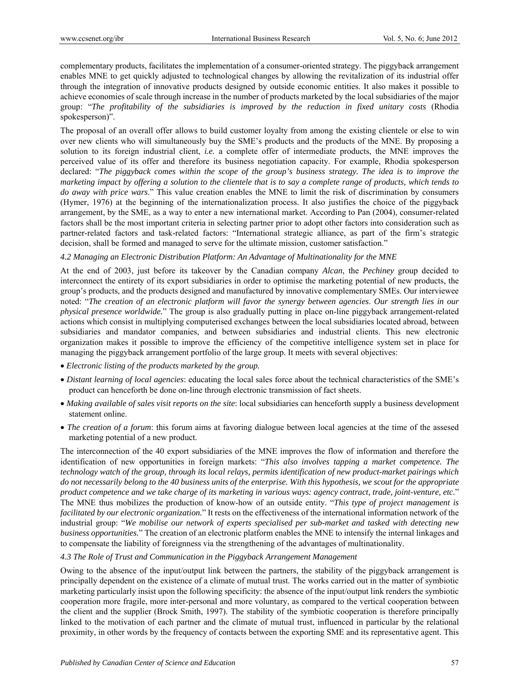complementary products, facilitates the implementation of a consumer-oriented strategy. The piggyback arrangement enables MNE to get quickly adjusted to technological changes by allowing the revitalization of its industrial offer through the integration of innovative products designed by outside economic entities. It also makes it possible to achieve economies of scale through increase in the number of products marketed by the local subsidiaries of the major group: "*The profitability of the subsidiaries is improved by the reduction in fixed unitary costs* (Rhodia spokesperson)".

The proposal of an overall offer allows to build customer loyalty from among the existing clientele or else to win over new clients who will simultaneously buy the SME's products and the products of the MNE. By proposing a solution to its foreign industrial client, *i.e.* a complete offer of intermediate products, the MNE improves the perceived value of its offer and therefore its business negotiation capacity. For example, Rhodia spokesperson declared: "*The piggyback comes within the scope of the group's business strategy. The idea is to improve the marketing impact by offering a solution to the clientele that is to say a complete range of products, which tends to do away with price wars*." This value creation enables the MNE to limit the risk of discrimination by consumers (Hymer, 1976) at the beginning of the internationalization process. It also justifies the choice of the piggyback arrangement, by the SME, as a way to enter a new international market. According to Pan (2004), consumer-related factors shall be the most important criteria in selecting partner prior to adopt other factors into consideration such as partner-related factors and task-related factors: "International strategic alliance, as part of the firm's strategic decision, shall be formed and managed to serve for the ultimate mission, customer satisfaction."

*4.2 Managing an Electronic Distribution Platform: An Advantage of Multinationality for the MNE* 

At the end of 2003, just before its takeover by the Canadian company *Alcan*, the *Pechiney* group decided to interconnect the entirety of its export subsidiaries in order to optimise the marketing potential of new products, the group's products, and the products designed and manufactured by innovative complementary SMEs. Our interviewee noted: "*The creation of an electronic platform will favor the synergy between agencies*. *Our strength lies in our physical presence worldwide.*" The group is also gradually putting in place on-line piggyback arrangement-related actions which consist in multiplying computerised exchanges between the local subsidiaries located abroad, between subsidiaries and mandator companies, and between subsidiaries and industrial clients. This new electronic organization makes it possible to improve the efficiency of the competitive intelligence system set in place for managing the piggyback arrangement portfolio of the large group. It meets with several objectives:

- *Electronic listing of the products marketed by the group.*
- *Distant learning of local agencies*: educating the local sales force about the technical characteristics of the SME's product can henceforth be done on-line through electronic transmission of fact sheets.
- *Making available of sales visit reports on the site*: local subsidiaries can henceforth supply a business development statement online.
- *The creation of a forum*: this forum aims at favoring dialogue between local agencies at the time of the assesed marketing potential of a new product.

The interconnection of the 40 export subsidiaries of the MNE improves the flow of information and therefore the identification of new opportunities in foreign markets: "*This also involves tapping a market competence. The technology watch of the group, through its local relays, permits identification of new product-market pairings which do not necessarily belong to the 40 business units of the enterprise. With this hypothesis, we scout for the appropriate product competence and we take charge of its marketing in various ways: agency contract, trade, joint-venture, etc.*" The MNE thus mobilizes the production of know-how of an outside entity. "*This type of project management is facilitated by our electronic organization.*" It rests on the effectiveness of the international information network of the industrial group: "*We mobilise our network of experts specialised per sub-market and tasked with detecting new business opportunities.*" The creation of an electronic platform enables the MNE to intensify the internal linkages and to compensate the liability of foreignness via the strengthening of the advantages of multinationality.

#### *4.3 The Role of Trust and Communication in the Piggyback Arrangement Management*

Owing to the absence of the input/output link between the partners, the stability of the piggyback arrangement is principally dependent on the existence of a climate of mutual trust. The works carried out in the matter of symbiotic marketing particularly insist upon the following specificity: the absence of the input/output link renders the symbiotic cooperation more fragile, more inter-personal and more voluntary, as compared to the vertical cooperation between the client and the supplier (Brock Smith, 1997). The stability of the symbiotic cooperation is therefore principally linked to the motivation of each partner and the climate of mutual trust, influenced in particular by the relational proximity, in other words by the frequency of contacts between the exporting SME and its representative agent. This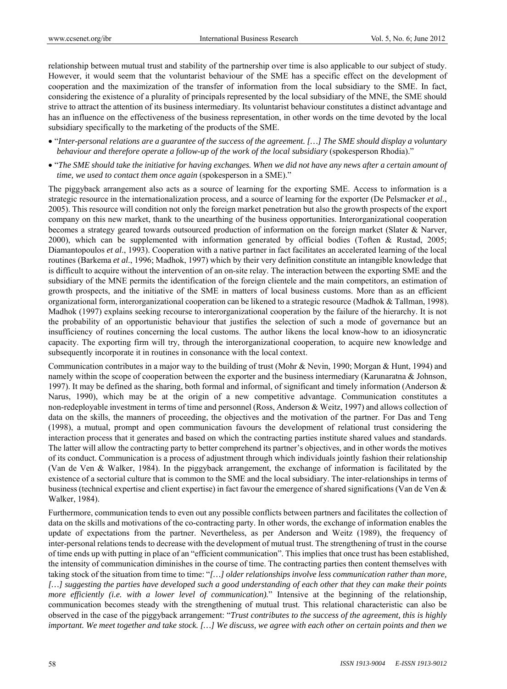relationship between mutual trust and stability of the partnership over time is also applicable to our subject of study. However, it would seem that the voluntarist behaviour of the SME has a specific effect on the development of cooperation and the maximization of the transfer of information from the local subsidiary to the SME. In fact, considering the existence of a plurality of principals represented by the local subsidiary of the MNE, the SME should strive to attract the attention of its business intermediary. Its voluntarist behaviour constitutes a distinct advantage and has an influence on the effectiveness of the business representation, in other words on the time devoted by the local subsidiary specifically to the marketing of the products of the SME.

- "*Inter-personal relations are a guarantee of the success of the agreement. […] The SME should display a voluntary behaviour and therefore operate a follow-up of the work of the local subsidiary* (spokesperson Rhodia)."
- "*The SME should take the initiative for having exchanges. When we did not have any news after a certain amount of time, we used to contact them once again* (spokesperson in a SME)."

The piggyback arrangement also acts as a source of learning for the exporting SME. Access to information is a strategic resource in the internationalization process, and a source of learning for the exporter (De Pelsmacker *et al.*, 2005). This resource will condition not only the foreign market penetration but also the growth prospects of the export company on this new market, thank to the unearthing of the business opportunities. Interorganizational cooperation becomes a strategy geared towards outsourced production of information on the foreign market (Slater & Narver, 2000), which can be supplemented with information generated by official bodies (Toften & Rustad, 2005; Diamantopoulos *et al*., 1993). Cooperation with a native partner in fact facilitates an accelerated learning of the local routines (Barkema *et al*., 1996; Madhok, 1997) which by their very definition constitute an intangible knowledge that is difficult to acquire without the intervention of an on-site relay. The interaction between the exporting SME and the subsidiary of the MNE permits the identification of the foreign clientele and the main competitors, an estimation of growth prospects, and the initiative of the SME in matters of local business customs. More than as an efficient organizational form, interorganizational cooperation can be likened to a strategic resource (Madhok & Tallman, 1998). Madhok (1997) explains seeking recourse to interorganizational cooperation by the failure of the hierarchy. It is not the probability of an opportunistic behaviour that justifies the selection of such a mode of governance but an insufficiency of routines concerning the local customs. The author likens the local know-how to an idiosyncratic capacity. The exporting firm will try, through the interorganizational cooperation, to acquire new knowledge and subsequently incorporate it in routines in consonance with the local context.

Communication contributes in a major way to the building of trust (Mohr & Nevin, 1990; Morgan & Hunt, 1994) and namely within the scope of cooperation between the exporter and the business intermediary (Karunaratna & Johnson, 1997). It may be defined as the sharing, both formal and informal, of significant and timely information (Anderson  $\&$ Narus, 1990), which may be at the origin of a new competitive advantage. Communication constitutes a non-redeployable investment in terms of time and personnel (Ross, Anderson & Weitz, 1997) and allows collection of data on the skills, the manners of proceeding, the objectives and the motivation of the partner. For Das and Teng (1998), a mutual, prompt and open communication favours the development of relational trust considering the interaction process that it generates and based on which the contracting parties institute shared values and standards. The latter will allow the contracting party to better comprehend its partner's objectives, and in other words the motives of its conduct. Communication is a process of adjustment through which individuals jointly fashion their relationship (Van de Ven & Walker, 1984). In the piggyback arrangement, the exchange of information is facilitated by the existence of a sectorial culture that is common to the SME and the local subsidiary. The inter-relationships in terms of business (technical expertise and client expertise) in fact favour the emergence of shared significations (Van de Ven & Walker, 1984).

Furthermore, communication tends to even out any possible conflicts between partners and facilitates the collection of data on the skills and motivations of the co-contracting party. In other words, the exchange of information enables the update of expectations from the partner. Nevertheless, as per Anderson and Weitz (1989), the frequency of inter-personal relations tends to decrease with the development of mutual trust. The strengthening of trust in the course of time ends up with putting in place of an "efficient communication". This implies that once trust has been established, the intensity of communication diminishes in the course of time. The contracting parties then content themselves with taking stock of the situation from time to time: "*[…] older relationships involve less communication rather than more, […] suggesting the parties have developed such a good understanding of each other that they can make their points more efficiently (i.e. with a lower level of communication).*" Intensive at the beginning of the relationship, communication becomes steady with the strengthening of mutual trust. This relational characteristic can also be observed in the case of the piggyback arrangement: "*Trust contributes to the success of the agreement, this is highly important. We meet together and take stock. […] We discuss, we agree with each other on certain points and then we*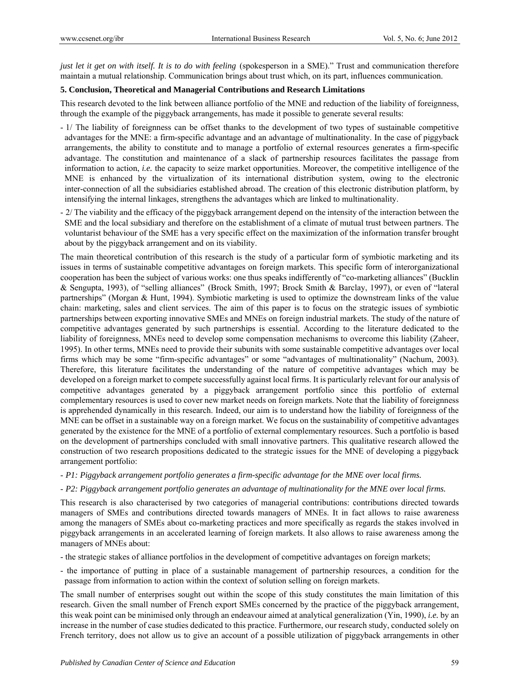*just let it get on with itself. It is to do with feeling* (spokesperson in a SME)." Trust and communication therefore maintain a mutual relationship. Communication brings about trust which, on its part, influences communication.

## **5. Conclusion, Theoretical and Managerial Contributions and Research Limitations**

This research devoted to the link between alliance portfolio of the MNE and reduction of the liability of foreignness, through the example of the piggyback arrangements, has made it possible to generate several results:

- 1/ The liability of foreignness can be offset thanks to the development of two types of sustainable competitive advantages for the MNE: a firm-specific advantage and an advantage of multinationality. In the case of piggyback arrangements, the ability to constitute and to manage a portfolio of external resources generates a firm-specific advantage. The constitution and maintenance of a slack of partnership resources facilitates the passage from information to action, *i.e.* the capacity to seize market opportunities. Moreover, the competitive intelligence of the MNE is enhanced by the virtualization of its international distribution system, owing to the electronic inter-connection of all the subsidiaries established abroad. The creation of this electronic distribution platform, by intensifying the internal linkages, strengthens the advantages which are linked to multinationality.
- 2/ The viability and the efficacy of the piggyback arrangement depend on the intensity of the interaction between the SME and the local subsidiary and therefore on the establishment of a climate of mutual trust between partners. The voluntarist behaviour of the SME has a very specific effect on the maximization of the information transfer brought about by the piggyback arrangement and on its viability.

The main theoretical contribution of this research is the study of a particular form of symbiotic marketing and its issues in terms of sustainable competitive advantages on foreign markets. This specific form of interorganizational cooperation has been the subject of various works: one thus speaks indifferently of "co-marketing alliances" (Bucklin & Sengupta, 1993), of "selling alliances" (Brock Smith, 1997; Brock Smith & Barclay, 1997), or even of "lateral partnerships" (Morgan & Hunt, 1994). Symbiotic marketing is used to optimize the downstream links of the value chain: marketing, sales and client services. The aim of this paper is to focus on the strategic issues of symbiotic partnerships between exporting innovative SMEs and MNEs on foreign industrial markets. The study of the nature of competitive advantages generated by such partnerships is essential. According to the literature dedicated to the liability of foreignness, MNEs need to develop some compensation mechanisms to overcome this liability (Zaheer, 1995). In other terms, MNEs need to provide their subunits with some sustainable competitive advantages over local firms which may be some "firm-specific advantages" or some "advantages of multinationality" (Nachum, 2003). Therefore, this literature facilitates the understanding of the nature of competitive advantages which may be developed on a foreign market to compete successfully against local firms. It is particularly relevant for our analysis of competitive advantages generated by a piggyback arrangement portfolio since this portfolio of external complementary resources is used to cover new market needs on foreign markets. Note that the liability of foreignness is apprehended dynamically in this research. Indeed, our aim is to understand how the liability of foreignness of the MNE can be offset in a sustainable way on a foreign market. We focus on the sustainability of competitive advantages generated by the existence for the MNE of a portfolio of external complementary resources. Such a portfolio is based on the development of partnerships concluded with small innovative partners. This qualitative research allowed the construction of two research propositions dedicated to the strategic issues for the MNE of developing a piggyback arrangement portfolio:

- *P1: Piggyback arrangement portfolio generates a firm-specific advantage for the MNE over local firms.* 

# - *P2: Piggyback arrangement portfolio generates an advantage of multinationality for the MNE over local firms.*

This research is also characterised by two categories of managerial contributions: contributions directed towards managers of SMEs and contributions directed towards managers of MNEs. It in fact allows to raise awareness among the managers of SMEs about co-marketing practices and more specifically as regards the stakes involved in piggyback arrangements in an accelerated learning of foreign markets. It also allows to raise awareness among the managers of MNEs about:

- the strategic stakes of alliance portfolios in the development of competitive advantages on foreign markets;
- the importance of putting in place of a sustainable management of partnership resources, a condition for the passage from information to action within the context of solution selling on foreign markets.

The small number of enterprises sought out within the scope of this study constitutes the main limitation of this research. Given the small number of French export SMEs concerned by the practice of the piggyback arrangement, this weak point can be minimised only through an endeavour aimed at analytical generalization (Yin, 1990), *i.e.* by an increase in the number of case studies dedicated to this practice. Furthermore, our research study, conducted solely on French territory, does not allow us to give an account of a possible utilization of piggyback arrangements in other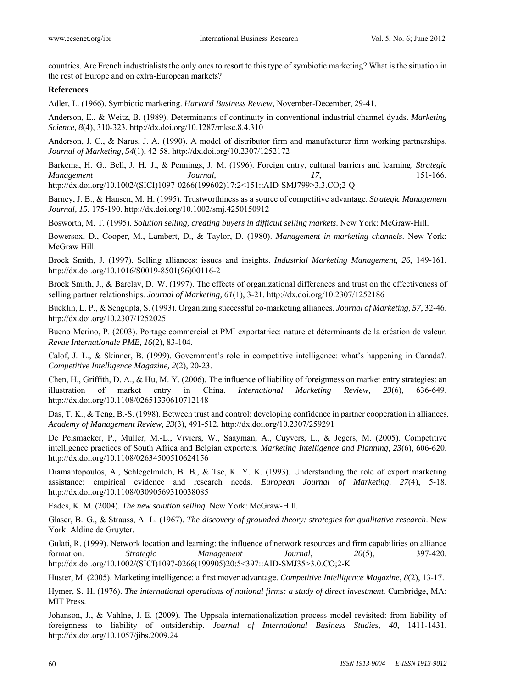countries. Are French industrialists the only ones to resort to this type of symbiotic marketing? What is the situation in the rest of Europe and on extra-European markets?

#### **References**

Adler, L. (1966). Symbiotic marketing. *Harvard Business Review,* November-December, 29-41.

Anderson, E., & Weitz, B. (1989). Determinants of continuity in conventional industrial channel dyads. *Marketing Science, 8*(4), 310-323. http://dx.doi.org/10.1287/mksc.8.4.310

Anderson, J. C., & Narus, J. A. (1990). A model of distributor firm and manufacturer firm working partnerships. *Journal of Marketing, 54*(1), 42-58. http://dx.doi.org/10.2307/1252172

Barkema, H. G., Bell, J. H. J., & Pennings, J. M. (1996). Foreign entry, cultural barriers and learning. *Strategic Management Journal, 17*, 151-166.

http://dx.doi.org/10.1002/(SICI)1097-0266(199602)17:2<151::AID-SMJ799>3.3.CO;2-Q

Barney, J. B., & Hansen, M. H. (1995). Trustworthiness as a source of competitive advantage. *Strategic Management Journal, 15*, 175-190. http://dx.doi.org/10.1002/smj.4250150912

Bosworth, M. T. (1995). *Solution selling, creating buyers in difficult selling markets*. New York: McGraw-Hill.

Bowersox, D., Cooper, M., Lambert, D., & Taylor, D. (1980). *Management in marketing channels*. New-York: McGraw Hill.

Brock Smith, J. (1997). Selling alliances: issues and insights. *Industrial Marketing Management, 26*, 149-161. http://dx.doi.org/10.1016/S0019-8501(96)00116-2

Brock Smith, J., & Barclay, D. W. (1997). The effects of organizational differences and trust on the effectiveness of selling partner relationships. *Journal of Marketing, 61*(1), 3-21. http://dx.doi.org/10.2307/1252186

Bucklin, L. P., & Sengupta, S. (1993). Organizing successful co-marketing alliances. *Journal of Marketing, 57*, 32-46. http://dx.doi.org/10.2307/1252025

Bueno Merino, P. (2003). Portage commercial et PMI exportatrice: nature et déterminants de la création de valeur. *Revue Internationale PME, 16*(2), 83-104.

Calof, J. L., & Skinner, B. (1999). Government's role in competitive intelligence: what's happening in Canada?. *Competitive Intelligence Magazine, 2*(2), 20-23.

Chen, H., Griffith, D. A., & Hu, M. Y. (2006). The influence of liability of foreignness on market entry strategies: an illustration of market entry in China. *International Marketing Review, 23*(6), 636-649. http://dx.doi.org/10.1108/02651330610712148

Das, T. K., & Teng, B.-S. (1998). Between trust and control: developing confidence in partner cooperation in alliances. *Academy of Management Review, 23*(3), 491-512. http://dx.doi.org/10.2307/259291

De Pelsmacker, P., Muller, M.-L., Viviers, W., Saayman, A., Cuyvers, L., & Jegers, M. (2005). Competitive intelligence practices of South Africa and Belgian exporters. *Marketing Intelligence and Planning, 23*(6), 606-620. http://dx.doi.org/10.1108/02634500510624156

Diamantopoulos, A., Schlegelmilch, B. B., & Tse, K. Y. K. (1993). Understanding the role of export marketing assistance: empirical evidence and research needs. *European Journal of Marketing, 27*(4), 5-18. http://dx.doi.org/10.1108/03090569310038085

Eades, K. M. (2004). *The new solution selling*. New York: McGraw-Hill.

Glaser, B. G., & Strauss, A. L. (1967). *The discovery of grounded theory: strategies for qualitative research*. New York: Aldine de Gruyter.

Gulati, R. (1999). Network location and learning: the influence of network resources and firm capabilities on alliance formation. *Strategic Management Journal, 20*(5), 397-420. http://dx.doi.org/10.1002/(SICI)1097-0266(199905)20:5<397::AID-SMJ35>3.0.CO;2-K

Huster, M. (2005). Marketing intelligence: a first mover advantage. *Competitive Intelligence Magazine, 8*(2), 13-17.

Hymer, S. H. (1976). *The international operations of national firms: a study of direct investment.* Cambridge, MA: MIT Press.

Johanson, J., & Vahlne, J.-E. (2009). The Uppsala internationalization process model revisited: from liability of foreignness to liability of outsidership. *Journal of International Business Studies, 40*, 1411-1431. http://dx.doi.org/10.1057/jibs.2009.24